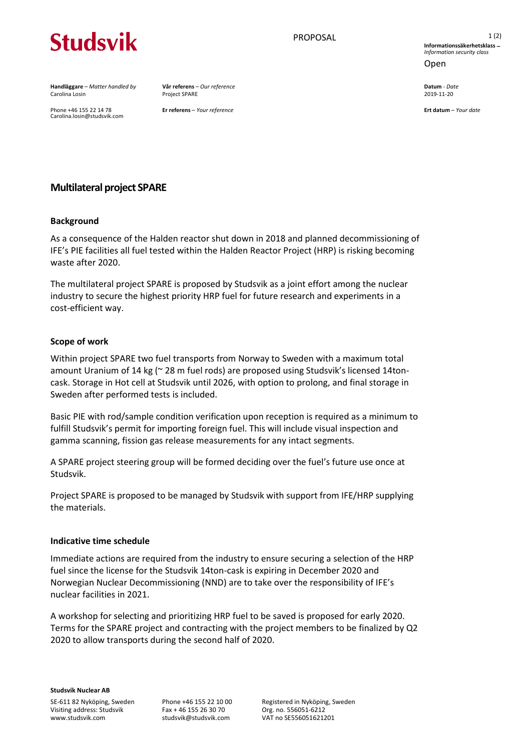# **Studsvik**

**Handläggare** – *Matter handled by* **Vår referens** – *Our reference* **Datum** - *Date* Carolina Losin Project SPARE 2019-11-20

Phone +46 155 22 14 78 **Er referens** – *Your reference* **Ert datum** – *Your date* Carolina.losin@studsvik.com

PROPOSAL 1(2) **Informationssäkerhetsklass** − *Information security class* Open

# **Multilateral project SPARE**

# **Background**

As a consequence of the Halden reactor shut down in 2018 and planned decommissioning of IFE's PIE facilities all fuel tested within the Halden Reactor Project (HRP) is risking becoming waste after 2020.

The multilateral project SPARE is proposed by Studsvik as a joint effort among the nuclear industry to secure the highest priority HRP fuel for future research and experiments in a cost-efficient way.

# **Scope of work**

Within project SPARE two fuel transports from Norway to Sweden with a maximum total amount Uranium of 14 kg (~ 28 m fuel rods) are proposed using Studsvik's licensed 14toncask. Storage in Hot cell at Studsvik until 2026, with option to prolong, and final storage in Sweden after performed tests is included.

Basic PIE with rod/sample condition verification upon reception is required as a minimum to fulfill Studsvik's permit for importing foreign fuel. This will include visual inspection and gamma scanning, fission gas release measurements for any intact segments.

A SPARE project steering group will be formed deciding over the fuel's future use once at Studsvik.

Project SPARE is proposed to be managed by Studsvik with support from IFE/HRP supplying the materials.

#### **Indicative time schedule**

Immediate actions are required from the industry to ensure securing a selection of the HRP fuel since the license for the Studsvik 14ton-cask is expiring in December 2020 and Norwegian Nuclear Decommissioning (NND) are to take over the responsibility of IFE's nuclear facilities in 2021.

A workshop for selecting and prioritizing HRP fuel to be saved is proposed for early 2020. Terms for the SPARE project and contracting with the project members to be finalized by Q2 2020 to allow transports during the second half of 2020.

Phone +46 155 22 10 00 Fax + 46 155 26 30 70 studsvik@studsvik.com

Registered in Nyköping, Sweden Org. no. 556051-6212 VAT no SE556051621201